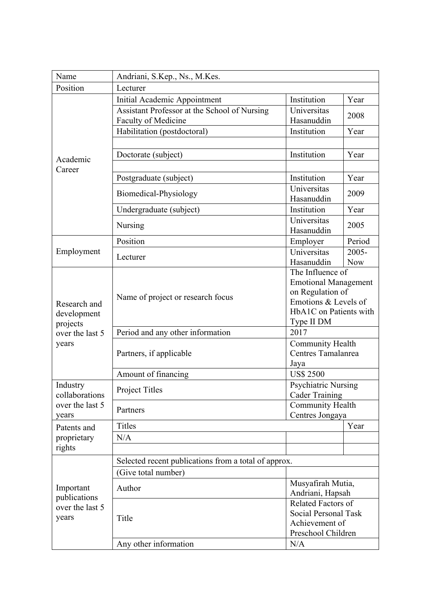| Name                                                   | Andriani, S.Kep., Ns., M.Kes.                                              |                                                 |                      |  |
|--------------------------------------------------------|----------------------------------------------------------------------------|-------------------------------------------------|----------------------|--|
| Position                                               | Lecturer                                                                   |                                                 |                      |  |
|                                                        | Initial Academic Appointment                                               | Institution                                     | Year                 |  |
| Academic<br>Career                                     | Assistant Professor at the School of Nursing<br><b>Faculty of Medicine</b> | Universitas<br>Hasanuddin                       | 2008                 |  |
|                                                        | Habilitation (postdoctoral)                                                | Institution                                     | Year                 |  |
|                                                        |                                                                            |                                                 |                      |  |
|                                                        | Doctorate (subject)                                                        | Institution                                     | Year                 |  |
|                                                        |                                                                            |                                                 |                      |  |
|                                                        | Postgraduate (subject)                                                     | Institution                                     | Year                 |  |
|                                                        | Biomedical-Physiology                                                      | Universitas<br>Hasanuddin                       | 2009                 |  |
|                                                        | Undergraduate (subject)                                                    | Institution                                     | Year                 |  |
|                                                        | Nursing                                                                    | Universitas<br>Hasanuddin                       | 2005                 |  |
|                                                        | Position                                                                   | Employer                                        | Period               |  |
| Employment                                             | Lecturer                                                                   | Universitas                                     | $2005 -$             |  |
|                                                        |                                                                            | Hasanuddin                                      | <b>Now</b>           |  |
|                                                        | Name of project or research focus                                          | The Influence of<br><b>Emotional Management</b> |                      |  |
|                                                        |                                                                            | on Regulation of                                |                      |  |
| Research and                                           |                                                                            |                                                 | Emotions & Levels of |  |
| development                                            |                                                                            | HbA1C on Patients with                          |                      |  |
| projects                                               |                                                                            | Type II DM                                      |                      |  |
| over the last 5                                        | Period and any other information                                           | 2017                                            |                      |  |
| years                                                  | Partners, if applicable                                                    | Community Health                                |                      |  |
|                                                        |                                                                            | Centres Tamalanrea                              |                      |  |
|                                                        |                                                                            | Jaya                                            |                      |  |
| Industry<br>collaborations<br>over the last 5<br>years | Amount of financing                                                        | <b>US\$ 2500</b>                                |                      |  |
|                                                        | <b>Project Titles</b>                                                      | Psychiatric Nursing<br><b>Cader Training</b>    |                      |  |
|                                                        | Partners                                                                   | Community Health                                |                      |  |
|                                                        |                                                                            | Centres Jongaya                                 |                      |  |
| Patents and                                            | Titles                                                                     |                                                 | Year                 |  |
| proprietary                                            | N/A                                                                        |                                                 |                      |  |
| rights                                                 |                                                                            |                                                 |                      |  |
| Important<br>publications<br>over the last 5<br>years  | Selected recent publications from a total of approx.                       |                                                 |                      |  |
|                                                        | (Give total number)                                                        |                                                 |                      |  |
|                                                        |                                                                            | Musyafirah Mutia,                               |                      |  |
|                                                        | Author                                                                     | Andriani, Hapsah                                |                      |  |
|                                                        | Title                                                                      | Related Factors of                              |                      |  |
|                                                        |                                                                            | Social Personal Task                            |                      |  |
|                                                        |                                                                            | Achievement of                                  |                      |  |
|                                                        | Any other information                                                      | Preschool Children                              |                      |  |
|                                                        |                                                                            | N/A                                             |                      |  |